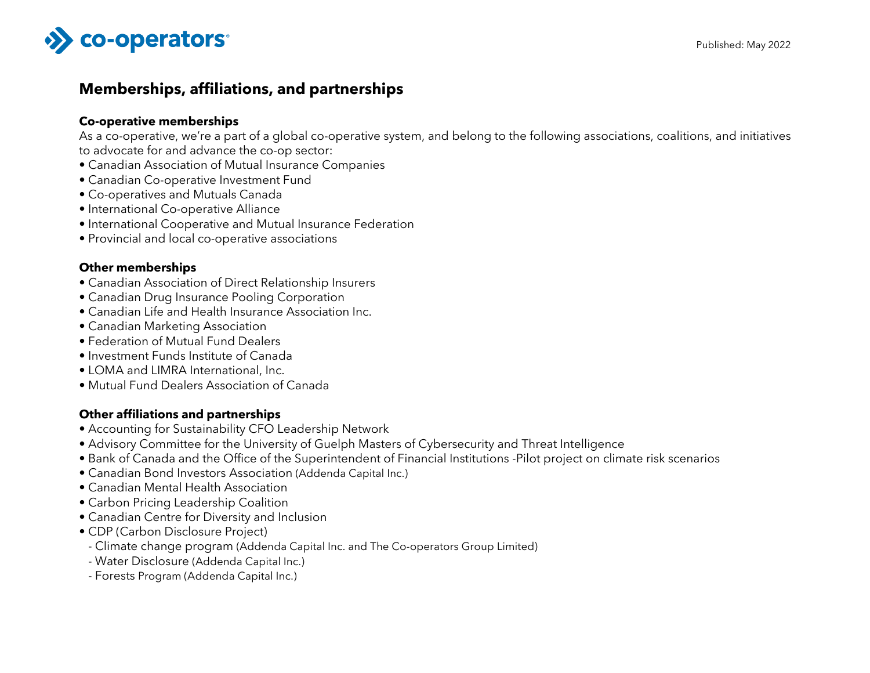

# **Memberships, affiliations, and partnerships**

#### **Co-operative memberships**

As a co-operative, we're a part of a global co-operative system, and belong to the following associations, coalitions, and initiatives to advocate for and advance the co-op sector:

- Canadian Association of Mutual Insurance Companies
- Canadian Co-operative Investment Fund
- Co-operatives and Mutuals Canada
- International Co-operative Alliance
- International Cooperative and Mutual Insurance Federation
- Provincial and local co-operative associations

#### **Other memberships**

- Canadian Association of Direct Relationship Insurers
- Canadian Drug Insurance Pooling Corporation
- Canadian Life and Health Insurance Association Inc.
- Canadian Marketing Association
- Federation of Mutual Fund Dealers
- Investment Funds Institute of Canada
- LOMA and LIMRA International, Inc.
- Mutual Fund Dealers Association of Canada

### **Other affiliations and partnerships**

- Accounting for Sustainability CFO Leadership Network
- Advisory Committee for the University of Guelph Masters of Cybersecurity and Threat Intelligence
- Bank of Canada and the Office of the Superintendent of Financial Institutions -Pilot project on climate risk scenarios
- Canadian Bond Investors Association (Addenda Capital Inc.)
- Canadian Mental Health Association
- Carbon Pricing Leadership Coalition
- Canadian Centre for Diversity and Inclusion
- CDP (Carbon Disclosure Project)
- Climate change program (Addenda Capital Inc. and The Co-operators Group Limited)
- Water Disclosure (Addenda Capital Inc.)
- Forests Program (Addenda Capital Inc.)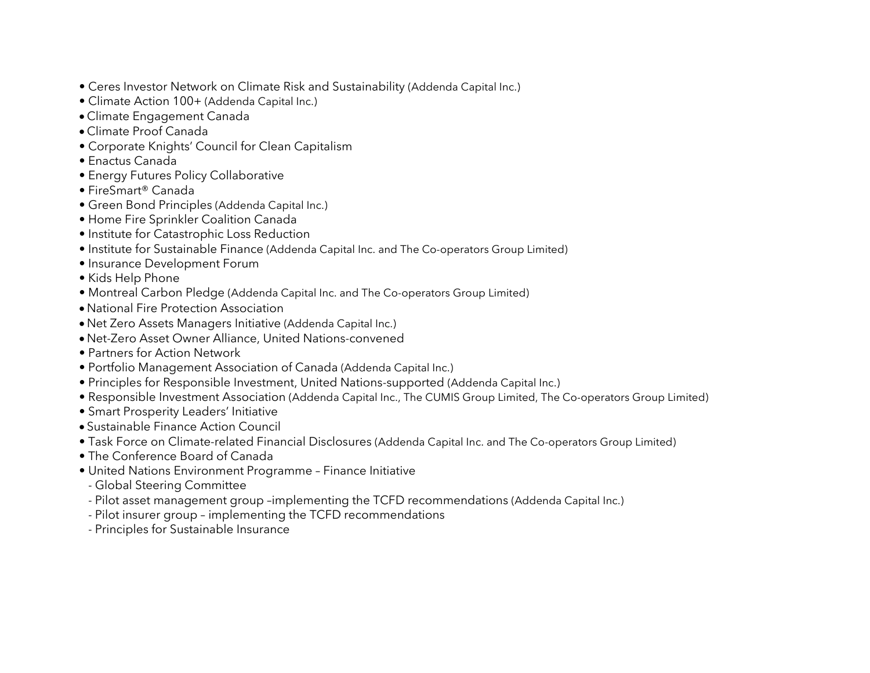- Ceres Investor Network on Climate Risk and Sustainability (Addenda Capital Inc.)
- Climate Action 100+ (Addenda Capital Inc.)
- Climate Engagement Canada
- Climate Proof Canada
- Corporate Knights' Council for Clean Capitalism
- Enactus Canada
- Energy Futures Policy Collaborative
- FireSmart® Canada
- Green Bond Principles (Addenda Capital Inc.)
- Home Fire Sprinkler Coalition Canada
- Institute for Catastrophic Loss Reduction
- Institute for Sustainable Finance (Addenda Capital Inc. and The Co-operators Group Limited)
- Insurance Development Forum
- Kids Help Phone
- Montreal Carbon Pledge (Addenda Capital Inc. and The Co-operators Group Limited)
- National Fire Protection Association
- Net Zero Assets Managers Initiative (Addenda Capital Inc.)
- Net-Zero Asset Owner Alliance, United Nations-convened
- Partners for Action Network
- Portfolio Management Association of Canada (Addenda Capital Inc.)
- Principles for Responsible Investment, United Nations-supported (Addenda Capital Inc.)
- Responsible Investment Association (Addenda Capital Inc., The CUMIS Group Limited, The Co-operators Group Limited)
- Smart Prosperity Leaders' Initiative
- Sustainable Finance Action Council
- Task Force on Climate-related Financial Disclosures (Addenda Capital Inc. and The Co-operators Group Limited)
- The Conference Board of Canada
- United Nations Environment Programme Finance Initiative
- Global Steering Committee
- Pilot asset management group –implementing the TCFD recommendations (Addenda Capital Inc.)
- Pilot insurer group implementing the TCFD recommendations
- Principles for Sustainable Insurance